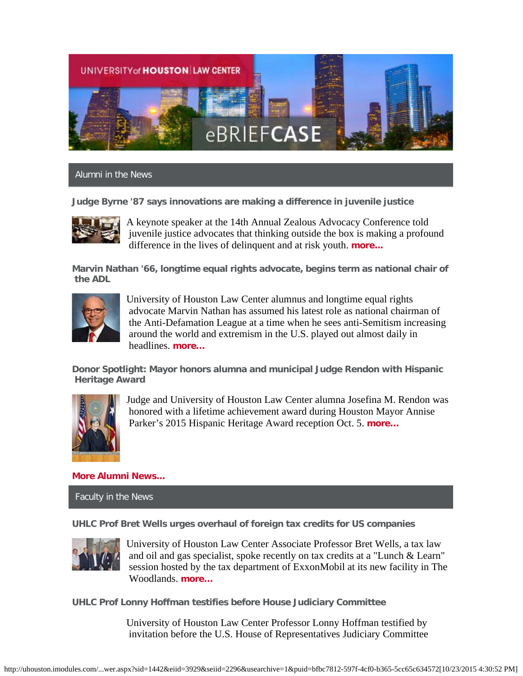

Alumni in the News

**Judge Byrne '87 says innovations are making a difference in juvenile justice**



A keynote speaker at the 14th Annual Zealous Advocacy Conference told juvenile justice advocates that thinking outside the box is making a profound difference in the lives of delinquent and at risk youth. **[more...](http://www.law.uh.edu/news/fall2015/0929Zealous.asp)**

**Marvin Nathan '66, longtime equal rights advocate, begins term as national chair of the ADL**



University of Houston Law Center alumnus and longtime equal rights advocate Marvin Nathan has assumed his latest role as national chairman of the Anti-Defamation League at a time when he sees anti-Semitism increasing around the world and extremism in the U.S. played out almost daily in headlines. **[more…](http://www.law.uh.edu/news/fall2015/1020adl.asp)**

**Donor Spotlight: Mayor honors alumna and municipal Judge Rendon with Hispanic Heritage Award**



Judge and University of Houston Law Center alumna Josefina M. Rendon was honored with a lifetime achievement award during Houston Mayor Annise Parker's 2015 Hispanic Heritage Award reception Oct. 5. **[more…](https://www.law.uh.edu/news/fall2015/0925rendon.asp)**

# **[More Alumni News...](http://www.law.uh.edu/alumni/alumni-in-the-news.asp)**

Faculty in the News

**UHLC Prof Bret Wells urges overhaul of foreign tax credits for US companies**



University of Houston Law Center Associate Professor Bret Wells, a tax law and oil and gas specialist, spoke recently on tax credits at a "Lunch & Learn" session hosted by the tax department of ExxonMobil at its new facility in The Woodlands. **[more…](http://www.law.uh.edu/news/fall2015/1020exxon.asp)**

**UHLC Prof Lonny Hoffman testifies before House Judiciary Committee**

University of Houston Law Center Professor Lonny Hoffman testified by invitation before the U.S. House of Representatives Judiciary Committee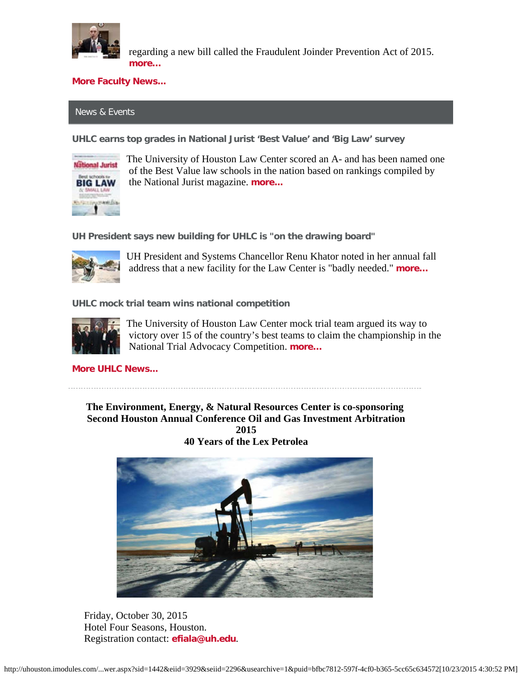

 regarding a new bill called the Fraudulent Joinder Prevention Act of 2015. **[more…](http://www.law.uh.edu/news/fall2015/0930Hoffman.asp)**

## **[More Faculty News...](http://www.law.uh.edu/news/uhlc-in-the-news.asp)**

# News & Events

**UHLC earns top grades in National Jurist 'Best Value' and 'Big Law' survey**



The University of Houston Law Center scored an A- and has been named one of the Best Value law schools in the nation based on rankings compiled by the National Jurist magazine. **[more...](http://www.law.uh.edu/news/fall2015/1007National.asp)**

**UH President says new building for UHLC is "on the drawing board"**



UH President and Systems Chancellor Renu Khator noted in her annual fall address that a new facility for the Law Center is "badly needed." **[more…](http://www.law.uh.edu/news/fall2015/1015khator.asp)**

**UHLC mock trial team wins national competition**



The University of Houston Law Center mock trial team argued its way to victory over 15 of the country's best teams to claim the championship in the National Trial Advocacy Competition. **[more…](http://www.law.uh.edu/news/fall2015/1012MockTrial.asp)**

**[More UHLC News...](http://www.law.uh.edu/news/homepage.asp)**

**The Environment, Energy, & Natural Resources Center is co-sponsoring Second Houston Annual Conference Oil and Gas Investment Arbitration 2015 40 Years of the Lex Petrolea**



 Friday, October 30, 2015 Hotel Four Seasons, Houston. Registration contact: **[efiala@uh.edu](mailto:efiala@uh.edu)**.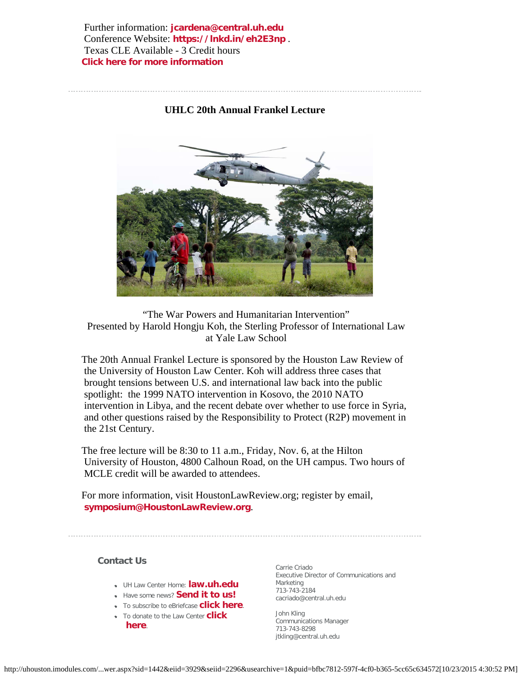Further information: **[jcardena@central.uh.edu](mailto:jcardena@central.uh.edu)** Conference Website: **<https://lnkd.in/eh2E3np>** . Texas CLE Available - 3 Credit hours **[Click here for more information](http://www.law.uh.edu/eenrcenter/oil-and-gas.asp)**

## **UHLC 20th Annual Frankel Lecture**

 "The War Powers and Humanitarian Intervention" Presented by Harold Hongju Koh, the Sterling Professor of International Law at Yale Law School

The 20th Annual Frankel Lecture is sponsored by the Houston Law Review of the University of Houston Law Center. Koh will address three cases that brought tensions between U.S. and international law back into the public spotlight: the 1999 NATO intervention in Kosovo, the 2010 NATO intervention in Libya, and the recent debate over whether to use force in Syria, and other questions raised by the Responsibility to Protect (R2P) movement in the 21st Century.

The free lecture will be 8:30 to 11 a.m., Friday, Nov. 6, at the Hilton University of Houston, 4800 Calhoun Road, on the UH campus. Two hours of MCLE credit will be awarded to attendees.

For more information, visit HoustonLawReview.org; register by email, **[symposium@HoustonLawReview.org](mailto:symposium@HoustonLawReview.org)**.

### **Contact Us**

- UH Law Center Home: **[law.uh.edu](http://www.law.uh.edu/)**
- **•** Have some news? **[Send it to us!](http://www.law.uh.edu/news/for-the-media.asp)**
- To subscribe to eBriefcase **[click here](https://www.law.uh.edu/alumni/sign-up-ebriefcase.asp)**.
- To donate to the Law Center **[click](https://giving.uh.edu/law/)  [here](https://giving.uh.edu/law/)**.

Carrie Criado Executive Director of Communications and Marketing 713-743-2184 cacriado@central.uh.edu

John Kling Communications Manager 713-743-8298 jtkling@central.uh.edu